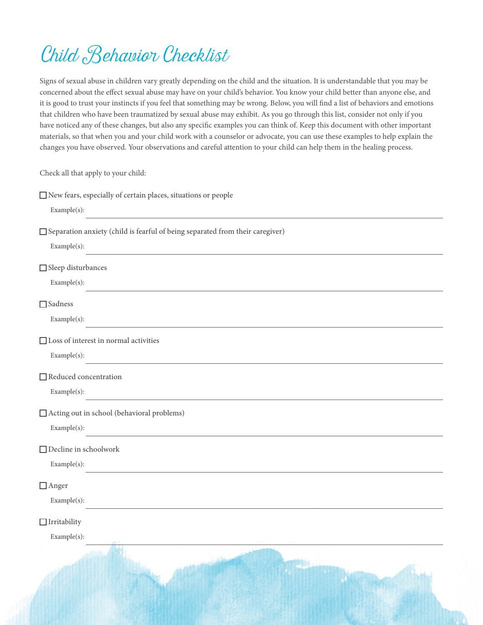## Child Behavior Checklist

Signs of sexual abuse in children vary greatly depending on the child and the situation. It is understandable that you may be concerned about the effect sexual abuse may have on your child's behavior. You know your child better than anyone else, and it is good to trust your instincts if you feel that something may be wrong. Below, you will find a list of behaviors and emotions that children who have been traumatized by sexual abuse may exhibit. As you go through this list, consider not only if you have noticed any of these changes, but also any specific examples you can think of. Keep this document with other important materials, so that when you and your child work with a counselor or advocate, you can use these examples to help explain the changes you have observed. Your observations and careful attention to your child can help them in the healing process.

Check all that apply to your child:

| □ New fears, especially of certain places, situations or people                                                                 |
|---------------------------------------------------------------------------------------------------------------------------------|
| Example(s):                                                                                                                     |
| □ Separation anxiety (child is fearful of being separated from their caregiver)                                                 |
| Example(s):<br>and the control of the control of the control of the control of the control of the control of the control of the |
| $\Box$ Sleep disturbances                                                                                                       |
| Example(s):                                                                                                                     |
| $\Box$ Sadness                                                                                                                  |
| Example(s):<br>the control of the control of the control of the control of                                                      |
| $\Box$ Loss of interest in normal activities                                                                                    |
| Example(s):                                                                                                                     |
| $\Box$ Reduced concentration                                                                                                    |
| Example(s):                                                                                                                     |
| □ Acting out in school (behavioral problems)                                                                                    |
| Example(s):<br><u> 1989 - Johann Barn, fransk politik (d. 1989)</u>                                                             |
| $\hfill\Box$<br>Decline in schoolwork                                                                                           |
| Example(s):<br>and the control of the control of the control of the control of the control of the control of the control of the |
| $\Box$ Anger                                                                                                                    |
| Example(s):                                                                                                                     |
| $\Box$ Irritability                                                                                                             |
| Example(s):                                                                                                                     |
|                                                                                                                                 |
|                                                                                                                                 |